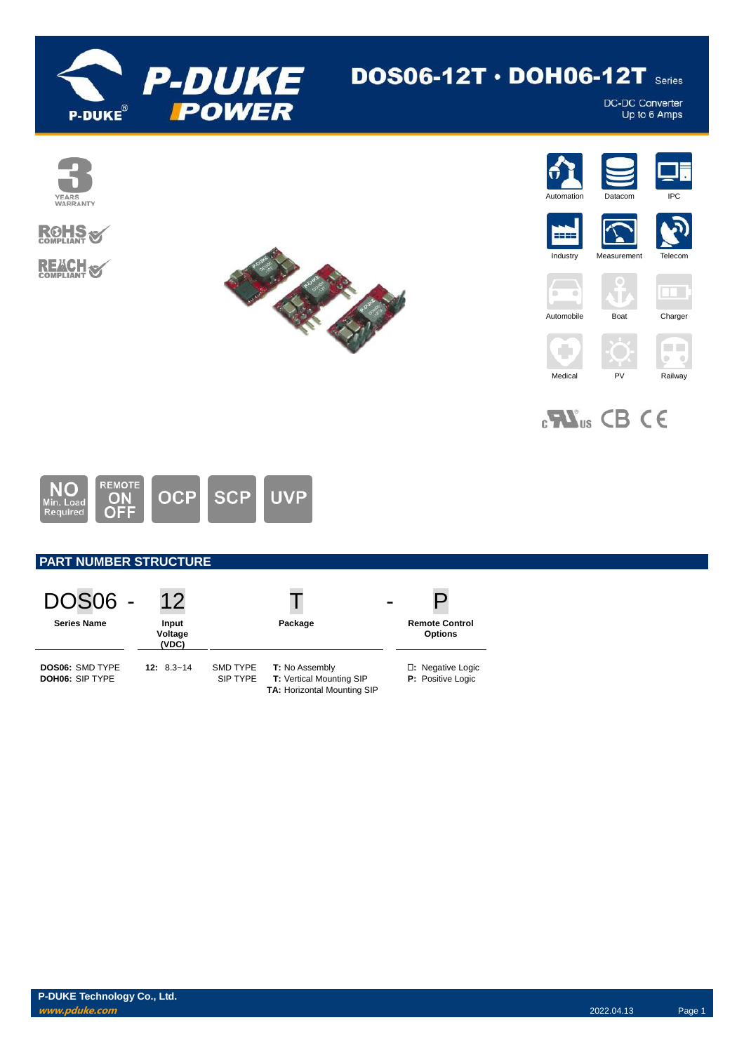

# DOS06-12T  $\cdot$  DOH06-12T series

DC-DC Converter<br>Up to 6 Amps





 $_{c}$ <sub>M</sub> $_{us}$  CB CE



# **PART NUMBER STRUCTURE**

| <b>DOS06 -</b>                                   | 12                        |                      |                                                                                                |                                         |
|--------------------------------------------------|---------------------------|----------------------|------------------------------------------------------------------------------------------------|-----------------------------------------|
| <b>Series Name</b>                               | Input<br>Voltage<br>(VDC) |                      | Package                                                                                        | <b>Remote Control</b><br><b>Options</b> |
| <b>DOS06: SMD TYPE</b><br><b>DOH06: SIP TYPE</b> | $12: 8.3 - 14$            | SMD TYPE<br>SIP TYPE | <b>T:</b> No Assembly<br><b>T:</b> Vertical Mounting SIP<br><b>TA: Horizontal Mounting SIP</b> | □: Negative Logic<br>P: Positive Logic  |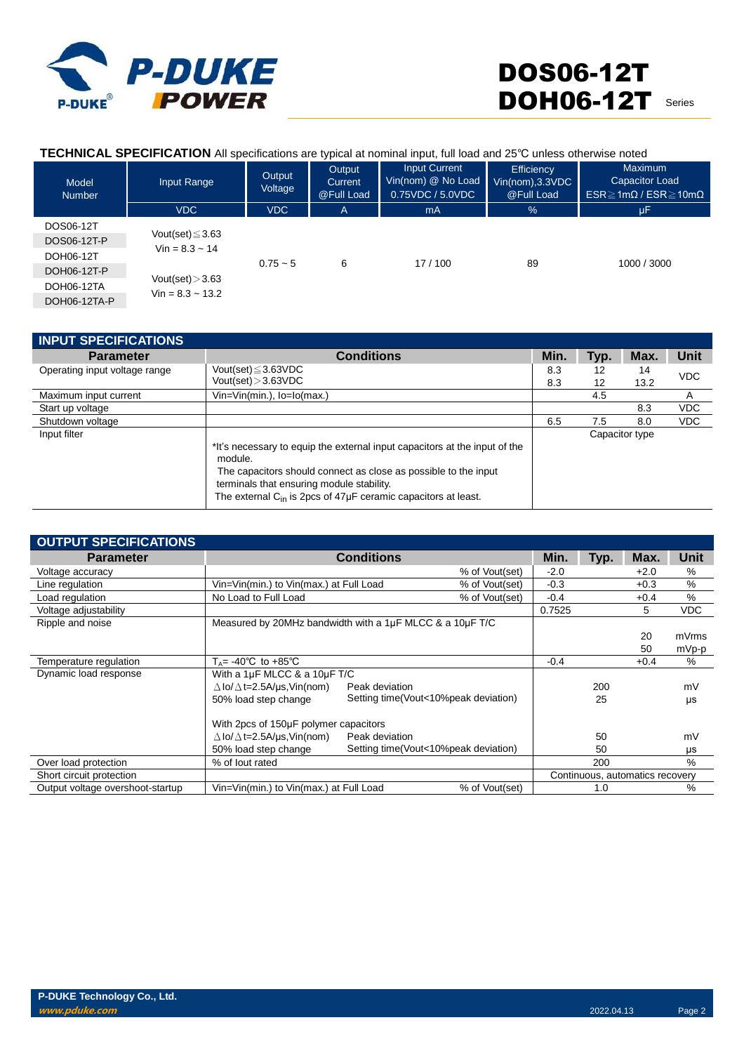

### **TECHNICAL SPECIFICATION** All specifications are typical at nominal input, full load and 25℃ unless otherwise noted

| Model<br><b>Number</b> | Input Range                                  | Output<br>Voltage | Output<br>Current<br>@Full Load | <b>Input Current</b><br>Vin(nom) @ No Load<br>0.75VDC / 5.0VDC | Efficiency<br>$Vin(nom)$ , $3.3VDC$<br>@Full Load | <b>Maximum</b><br>Capacitor Load<br>$ESR \geq 1m\Omega$ / $ESR \geq 10m\Omega$ |
|------------------------|----------------------------------------------|-------------------|---------------------------------|----------------------------------------------------------------|---------------------------------------------------|--------------------------------------------------------------------------------|
|                        | <b>VDC</b>                                   | <b>VDC</b>        | A                               | mA                                                             | $\frac{9}{6}$                                     | μF                                                                             |
| DOS06-12T              |                                              |                   |                                 |                                                                |                                                   |                                                                                |
| DOS06-12T-P            | Vout(set) $\leq$ 3.63<br>$Vin = 8.3 \sim 14$ |                   |                                 |                                                                |                                                   |                                                                                |
| DOH06-12T              |                                              | $0.75 - 5$        | 6                               | 17/100                                                         | 89                                                | 1000 / 3000                                                                    |
| DOH06-12T-P            |                                              |                   |                                 |                                                                |                                                   |                                                                                |
| DOH06-12TA             | Vout(set) $>3.63$                            |                   |                                 |                                                                |                                                   |                                                                                |
| DOH06-12TA-P           | $Vin = 8.3 - 13.2$                           |                   |                                 |                                                                |                                                   |                                                                                |

| <b>INPUT SPECIFICATIONS</b>   |                                                                                                                                                                                                                                                                                   |            |          |                |            |
|-------------------------------|-----------------------------------------------------------------------------------------------------------------------------------------------------------------------------------------------------------------------------------------------------------------------------------|------------|----------|----------------|------------|
| <b>Parameter</b>              | <b>Conditions</b>                                                                                                                                                                                                                                                                 | Min.       | Typ.     | Max.           | Unit       |
| Operating input voltage range | Vout(set) $\leq$ 3.63VDC<br>Vout(set) > 3.63VDC                                                                                                                                                                                                                                   | 8.3<br>8.3 | 12<br>12 | 14<br>13.2     | <b>VDC</b> |
| Maximum input current         | $V$ in= $V$ in(min.), $I$ o= $I$ o(max.)                                                                                                                                                                                                                                          |            | 4.5      |                | A          |
| Start up voltage              |                                                                                                                                                                                                                                                                                   |            |          | 8.3            | <b>VDC</b> |
| Shutdown voltage              |                                                                                                                                                                                                                                                                                   | 6.5        | 7.5      | 8.0            | <b>VDC</b> |
| Input filter                  | *It's necessary to equip the external input capacitors at the input of the<br>module.<br>The capacitors should connect as close as possible to the input<br>terminals that ensuring module stability.<br>The external $C_{in}$ is 2pcs of 47 $\mu$ F ceramic capacitors at least. |            |          | Capacitor type |            |

| <b>OUTPUT SPECIFICATIONS</b>     |                                                          |                   |                                      |        |      |                                 |            |
|----------------------------------|----------------------------------------------------------|-------------------|--------------------------------------|--------|------|---------------------------------|------------|
| <b>Parameter</b>                 |                                                          | <b>Conditions</b> |                                      |        | Typ. | Max.                            | Unit       |
| Voltage accuracy                 |                                                          | % of Vout(set)    |                                      | $-2.0$ |      | $+2.0$                          | %          |
| Line regulation                  | Vin=Vin(min.) to Vin(max.) at Full Load                  |                   | % of Vout(set)                       | $-0.3$ |      | $+0.3$                          | %          |
| Load regulation                  | No Load to Full Load                                     |                   | % of Vout(set)                       | $-0.4$ |      | $+0.4$                          | %          |
| Voltage adjustability            |                                                          |                   |                                      | 0.7525 |      | 5                               | <b>VDC</b> |
| Ripple and noise                 | Measured by 20MHz bandwidth with a 1µF MLCC & a 10µF T/C |                   |                                      |        |      |                                 |            |
|                                  |                                                          |                   |                                      |        |      | 20                              | mVrms      |
|                                  |                                                          |                   |                                      |        |      | 50                              | mVp-p      |
| Temperature regulation           | $T_A = -40^{\circ}C$ to $+85^{\circ}C$                   |                   |                                      | $-0.4$ |      | $+0.4$                          | %          |
| Dynamic load response            | With a $1\mu$ F MLCC & a $10\mu$ F T/C                   |                   |                                      |        |      |                                 |            |
|                                  | $\triangle$ lo/ $\triangle$ t=2.5A/µs, Vin(nom)          | Peak deviation    |                                      |        | 200  |                                 | mV         |
|                                  | 50% load step change                                     |                   | Setting time(Vout<10%peak deviation) |        | 25   |                                 | μs         |
|                                  | With 2pcs of 150µF polymer capacitors                    |                   |                                      |        |      |                                 |            |
|                                  | $\Delta$ lo/ $\Delta$ t=2.5A/µs,Vin(nom)                 | Peak deviation    |                                      |        | 50   |                                 | mV         |
|                                  | 50% load step change                                     |                   | Setting time(Vout<10%peak deviation) |        | 50   |                                 | μs         |
| Over load protection             | % of lout rated                                          |                   |                                      |        | 200  |                                 | %          |
| Short circuit protection         |                                                          |                   |                                      |        |      | Continuous, automatics recovery |            |
| Output voltage overshoot-startup | Vin=Vin(min.) to Vin(max.) at Full Load                  |                   | % of Vout(set)                       |        | 1.0  |                                 | %          |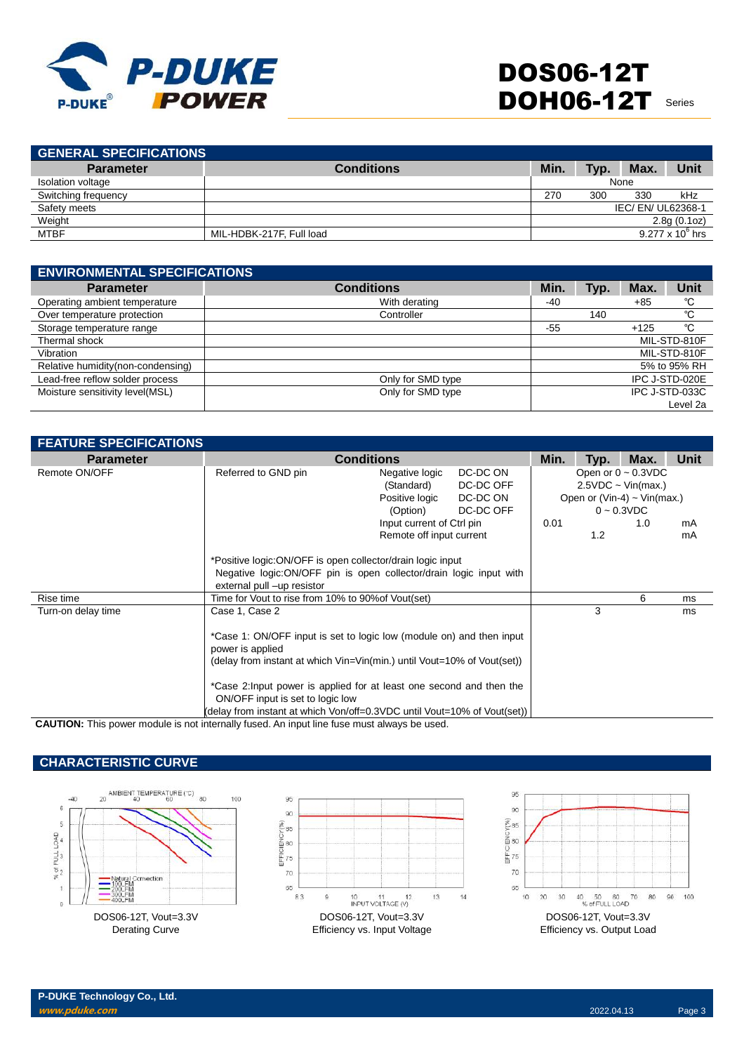

| <b>GENERAL SPECIFICATIONS</b> |                          |      |      |                  |                         |
|-------------------------------|--------------------------|------|------|------------------|-------------------------|
| <b>Parameter</b>              | <b>Conditions</b>        | Min. | Typ. | Max.             | Unit                    |
| Isolation voltage             |                          |      |      | None             |                         |
| Switching frequency           |                          | 270  | 300  | 330              | kHz                     |
| Safety meets                  |                          |      |      | IEC/EN/UL62368-1 |                         |
| Weight                        |                          |      |      |                  | 2.8g(0.1oz)             |
| <b>MTBF</b>                   | MIL-HDBK-217F, Full load |      |      |                  | $9.277 \times 10^6$ hrs |
|                               |                          |      |      |                  |                         |

| <b>ENVIRONMENTAL SPECIFICATIONS</b> |                   |      |      |        |                |  |  |
|-------------------------------------|-------------------|------|------|--------|----------------|--|--|
| <b>Parameter</b>                    | <b>Conditions</b> | Min. | Typ. | Max.   | Unit           |  |  |
| Operating ambient temperature       | With derating     | -40  |      | $+85$  | °C             |  |  |
| Over temperature protection         | Controller        |      | 140  |        | °C             |  |  |
| Storage temperature range           |                   | -55  |      | $+125$ | °C             |  |  |
| Thermal shock                       |                   |      |      |        | MIL-STD-810F   |  |  |
| Vibration                           |                   |      |      |        | MIL-STD-810F   |  |  |
| Relative humidity(non-condensing)   |                   |      |      |        | 5% to 95% RH   |  |  |
| Lead-free reflow solder process     | Only for SMD type |      |      |        | IPC J-STD-020E |  |  |
| Moisture sensitivity level(MSL)     | Only for SMD type |      |      |        | IPC J-STD-033C |  |  |
|                                     |                   |      |      |        | Level 2a       |  |  |

| <b>FEATURE SPECIFICATIONS</b> |                                                                          |                           |           |                          |      |                                  |             |
|-------------------------------|--------------------------------------------------------------------------|---------------------------|-----------|--------------------------|------|----------------------------------|-------------|
| <b>Parameter</b>              | <b>Conditions</b>                                                        |                           |           | Min.                     | Typ. | Max.                             | <b>Unit</b> |
| Remote ON/OFF                 | Referred to GND pin                                                      | Negative logic            | DC-DC ON  | Open or $0 \sim 0.3$ VDC |      |                                  |             |
|                               |                                                                          | (Standard)                | DC-DC OFF |                          |      | $2.5VDC \sim Vin(max.)$          |             |
|                               |                                                                          | Positive logic            | DC-DC ON  |                          |      | Open or (Vin-4) $\sim$ Vin(max.) |             |
|                               |                                                                          | (Option)                  | DC-DC OFF |                          |      | $0 - 0.3$ VDC                    |             |
|                               |                                                                          | Input current of Ctrl pin |           | 0.01                     |      | 1.0                              | mA          |
|                               |                                                                          | Remote off input current  |           |                          | 1.2  |                                  | mA          |
|                               |                                                                          |                           |           |                          |      |                                  |             |
|                               | *Positive logic:ON/OFF is open collector/drain logic input               |                           |           |                          |      |                                  |             |
|                               | Negative logic: ON/OFF pin is open collector/drain logic input with      |                           |           |                          |      |                                  |             |
|                               | external pull -up resistor                                               |                           |           |                          |      |                                  |             |
| Rise time                     | Time for Vout to rise from 10% to 90% of Vout (set)                      |                           |           |                          | 3    | 6                                | ms          |
| Turn-on delay time            | Case 1, Case 2                                                           |                           |           |                          |      |                                  | ms          |
|                               | *Case 1: ON/OFF input is set to logic low (module on) and then input     |                           |           |                          |      |                                  |             |
|                               | power is applied                                                         |                           |           |                          |      |                                  |             |
|                               | (delay from instant at which Vin=Vin(min.) until Vout=10% of Vout(set))  |                           |           |                          |      |                                  |             |
|                               |                                                                          |                           |           |                          |      |                                  |             |
|                               | *Case 2: Input power is applied for at least one second and then the     |                           |           |                          |      |                                  |             |
|                               | ON/OFF input is set to logic low                                         |                           |           |                          |      |                                  |             |
|                               | (delay from instant at which Von/off=0.3VDC until Vout=10% of Vout(set)) |                           |           |                          |      |                                  |             |

**CAUTION:** This power module is not internally fused. An input line fuse must always be used.

# **CHARACTERISTIC CURVE**





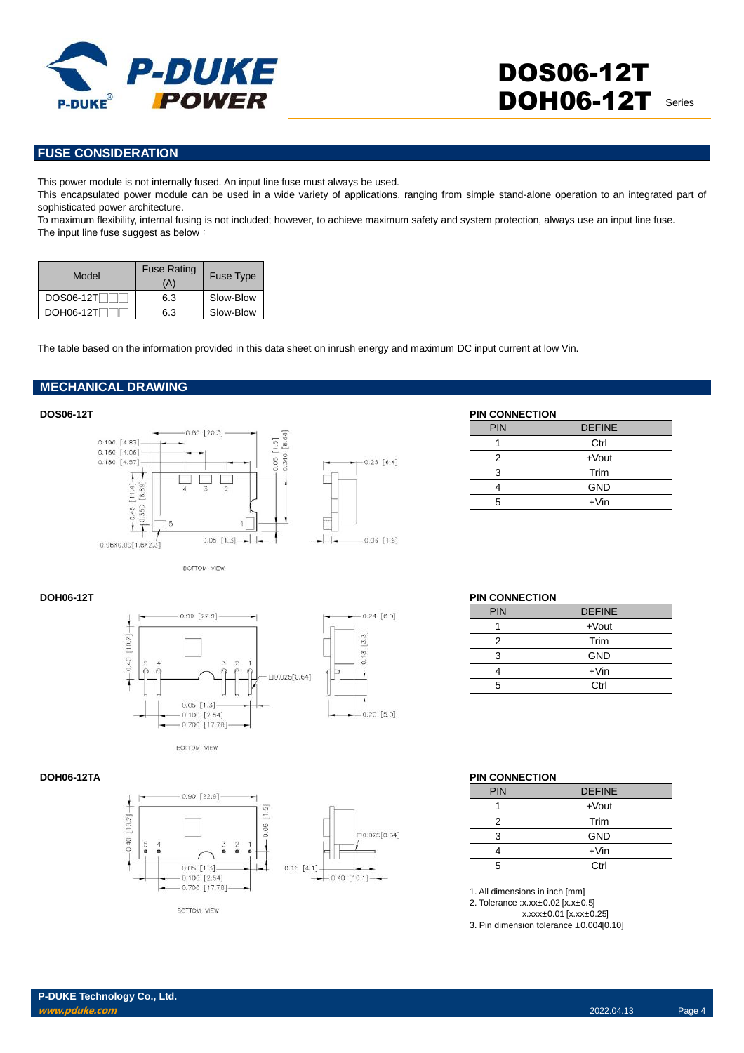

## **FUSE CONSIDERATION**

This power module is not internally fused. An input line fuse must always be used.

This encapsulated power module can be used in a wide variety of applications, ranging from simple stand-alone operation to an integrated part of sophisticated power architecture.

To maximum flexibility, internal fusing is not included; however, to achieve maximum safety and system protection, always use an input line fuse. The input line fuse suggest as below:

| Model            | <b>Fuse Rating</b><br>A' | <b>Fuse Type</b> |
|------------------|--------------------------|------------------|
| <b>DOS06-12T</b> | 6.3                      | Slow-Blow        |
| DOH06-12T        | 6.3                      | Slow-Blow        |

The table based on the information provided in this data sheet on inrush energy and maximum DC input current at low Vin.

### **MECHANICAL DRAWING**



| <b>DOS06-12T</b>                                      | <b>PIN CONNECTION</b> |               |
|-------------------------------------------------------|-----------------------|---------------|
| $0.80$ $[20.3]$                                       | <b>PIN</b>            | <b>DEFINE</b> |
| $0.190$ [4.83]                                        |                       | Ctrl          |
| $0.160$ [4.06]<br>$-$ 0.25 [6.4]<br>0.180 [4.57]<br>ĕ |                       | +Vout         |
|                                                       |                       | Trim          |
| 89<br>$\overline{4}$<br>$\mathbf{v}$                  |                       | <b>GND</b>    |
| $\infty$<br>$\overline{ }$<br>00                      |                       | $+V$ in       |

BOTTOM VIEW





 $-0.24$  [6.0]



BOTTOM VIEW

#### **DOH06-12T PIN CONNECTION**

| PIN | <b>DEFINE</b> |
|-----|---------------|
|     | $+$ Vout      |
| 2   | Trim          |
| З   | <b>GND</b>    |
|     | $+V$ in       |
| 5   | Ctrl          |

#### **DOH06-12TA PIN CONNECTION**

| <b>PIN</b> | <b>DEFINE</b> |
|------------|---------------|
|            | $+$ Vout      |
| 2          | Trim          |
| 3          | <b>GND</b>    |
|            | $+V$ in       |
| 5          | Ctrl          |

1. All dimensions in inch [mm]

2. Tolerance :x.xx±0.02 [x.x±0.5]

x.xxx±0.01 [x.xx±0.25]

3. Pin dimension tolerance ±0.004[0.10]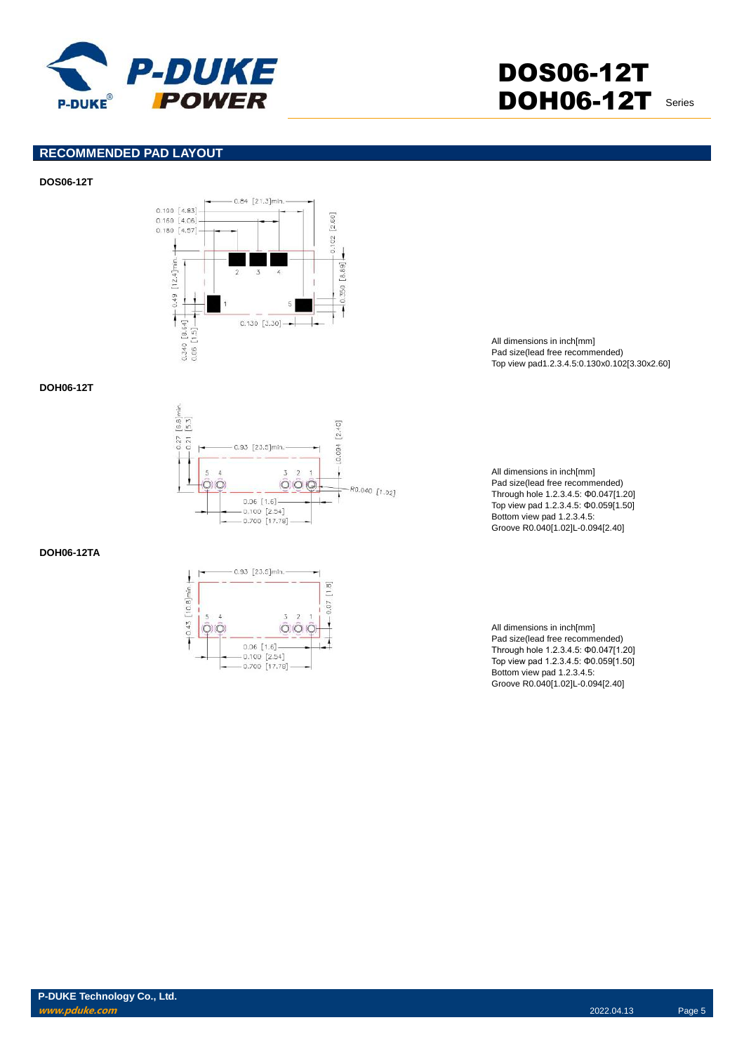

### **RECOMMENDED PAD LAYOUT**

#### **DOS06-12T**



### **DOH06-12T**



### **DOH06-12TA**



All dimensions in inch[mm] Pad size(lead free recommended) Top view pad1.2.3.4.5:0.130x0.102[3.30x2.60]

All dimensions in inch[mm] Pad size(lead free recommended) Through hole 1.2.3.4.5: Φ0.047[1.20] Top view pad 1.2.3.4.5: Φ0.059[1.50] Bottom view pad 1.2.3.4.5: Groove R0.040[1.02]L-0.094[2.40]

All dimensions in inch[mm] Pad size(lead free recommended) Through hole 1.2.3.4.5: Φ0.047[1.20] Top view pad 1.2.3.4.5: Φ0.059[1.50] Bottom view pad 1.2.3.4.5: Groove R0.040[1.02]L-0.094[2.40]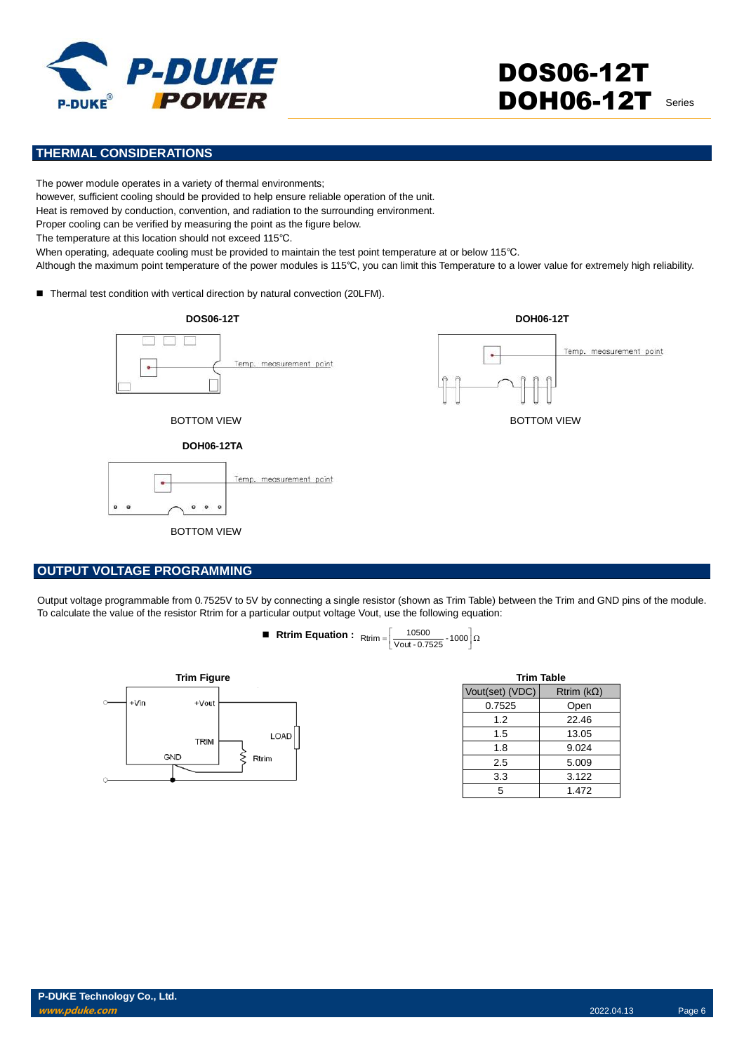

# **THERMAL CONSIDERATIONS**

The power module operates in a variety of thermal environments;

however, sufficient cooling should be provided to help ensure reliable operation of the unit.

Heat is removed by conduction, convention, and radiation to the surrounding environment.

Proper cooling can be verified by measuring the point as the figure below.

The temperature at this location should not exceed 115℃.

When operating, adequate cooling must be provided to maintain the test point temperature at or below 115℃.

Although the maximum point temperature of the power modules is 115℃, you can limit this Temperature to a lower value for extremely high reliability.

■ Thermal test condition with vertical direction by natural convection (20LFM).



#### **OUTPUT VOLTAGE PROGRAMMING**

Output voltage programmable from 0.7525V to 5V by connecting a single resistor (shown as Trim Table) between the Trim and GND pins of the module. To calculate the value of the resistor Rtrim for a particular output voltage Vout, use the following equation:

**Rtrim Equation :** 
$$
R\text{trim} = \left[\frac{10500}{\text{Vout} \cdot 0.7525} \cdot 1000\right] \Omega
$$



| <b>Trim Table</b> |                   |  |  |  |  |
|-------------------|-------------------|--|--|--|--|
| Vout(set) (VDC)   | Rtrim $(k\Omega)$ |  |  |  |  |
| 0.7525            | Open              |  |  |  |  |
| 1.2               | 22.46             |  |  |  |  |
| 1.5               | 13.05             |  |  |  |  |
| 1.8               | 9.024             |  |  |  |  |
| 2.5               | 5.009             |  |  |  |  |
| 3.3               | 3.122             |  |  |  |  |
| 5                 | 1.472             |  |  |  |  |